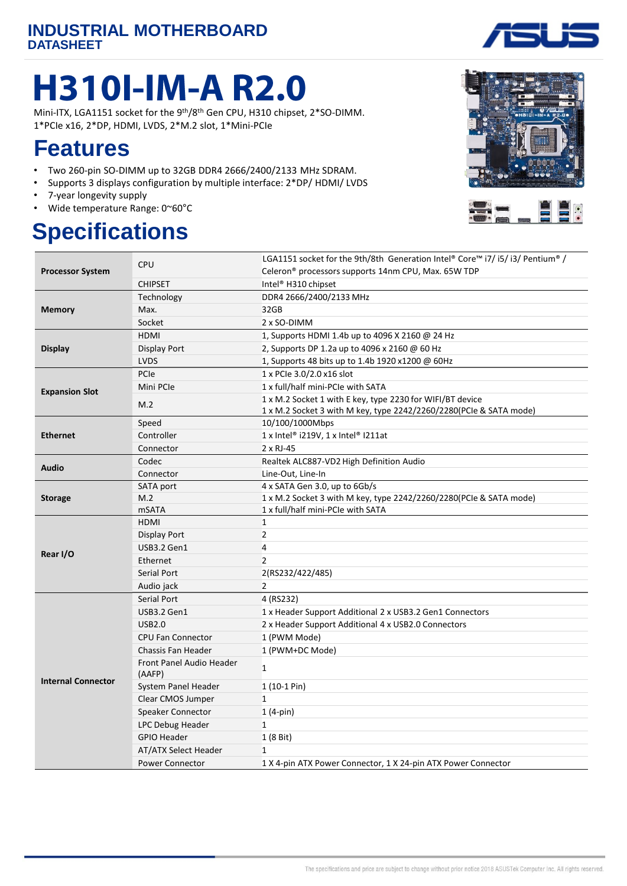# **H310I-IM-A R2.0**

Mini-ITX, LGA1151 socket for the 9<sup>th</sup>/8<sup>th</sup> Gen CPU, H310 chipset, 2\*SO-DIMM. 1\*PCIe x16, 2\*DP, HDMI, LVDS, 2\*M.2 slot, 1\*Mini-PCIe

#### **Features**

- Two 260-pin SO-DIMM up to 32GB DDR4 2666/2400/2133 MHz SDRAM.
- Supports 3 displays configuration by multiple interface: 2\*DP/ HDMI/ LVDS
- 7-year longevity supply
- Wide temperature Range: 0~60°C

## **Specifications**





| <b>Processor System</b>   | <b>CPU</b>                         | LGA1151 socket for the 9th/8th Generation Intel® Core™ i7/ i5/ i3/ Pentium® / |
|---------------------------|------------------------------------|-------------------------------------------------------------------------------|
|                           |                                    | Celeron <sup>®</sup> processors supports 14nm CPU, Max. 65W TDP               |
|                           | <b>CHIPSET</b>                     | Intel <sup>®</sup> H310 chipset                                               |
| <b>Memory</b>             | Technology                         | DDR4 2666/2400/2133 MHz                                                       |
|                           | Max.                               | 32GB                                                                          |
|                           | Socket                             | 2 x SO-DIMM                                                                   |
| <b>Display</b>            | <b>HDMI</b>                        | 1, Supports HDMI 1.4b up to 4096 X 2160 @ 24 Hz                               |
|                           | Display Port                       | 2, Supports DP 1.2a up to 4096 x 2160 @ 60 Hz                                 |
|                           | <b>LVDS</b>                        | 1, Supports 48 bits up to 1.4b 1920 x1200 @ 60Hz                              |
| <b>Expansion Slot</b>     | PCIe                               | 1 x PCIe 3.0/2.0 x16 slot                                                     |
|                           | Mini PCIe                          | 1 x full/half mini-PCIe with SATA                                             |
|                           | M.2                                | 1 x M.2 Socket 1 with E key, type 2230 for WIFI/BT device                     |
|                           |                                    | 1 x M.2 Socket 3 with M key, type 2242/2260/2280(PCIe & SATA mode)            |
| <b>Ethernet</b>           | Speed                              | 10/100/1000Mbps                                                               |
|                           | Controller                         | 1 x Intel® i219V, 1 x Intel® I211at                                           |
|                           | Connector                          | 2 x RJ-45                                                                     |
| <b>Audio</b>              | Codec                              | Realtek ALC887-VD2 High Definition Audio                                      |
|                           | Connector                          | Line-Out, Line-In                                                             |
|                           | SATA port                          | 4 x SATA Gen 3.0, up to 6Gb/s                                                 |
| <b>Storage</b>            | M.2                                | 1 x M.2 Socket 3 with M key, type 2242/2260/2280(PCIe & SATA mode)            |
|                           | <b>mSATA</b>                       | 1 x full/half mini-PCIe with SATA                                             |
|                           | <b>HDMI</b>                        | $\mathbf{1}$                                                                  |
| Rear I/O                  | Display Port                       | $\overline{2}$                                                                |
|                           | USB3.2 Gen1                        | 4                                                                             |
|                           | Ethernet                           | $\overline{2}$                                                                |
|                           | Serial Port                        | 2(RS232/422/485)                                                              |
|                           | Audio jack                         | $\overline{2}$                                                                |
| <b>Internal Connector</b> | Serial Port                        | 4 (RS232)                                                                     |
|                           | USB3.2 Gen1                        | 1 x Header Support Additional 2 x USB3.2 Gen1 Connectors                      |
|                           | <b>USB2.0</b>                      | 2 x Header Support Additional 4 x USB2.0 Connectors                           |
|                           | <b>CPU Fan Connector</b>           | 1 (PWM Mode)                                                                  |
|                           | <b>Chassis Fan Header</b>          | 1 (PWM+DC Mode)                                                               |
|                           | Front Panel Audio Header<br>(AAFP) | $\mathbf{1}$                                                                  |
|                           | System Panel Header                | $1(10-1 Pin)$                                                                 |
|                           | Clear CMOS Jumper                  | $\mathbf{1}$                                                                  |
|                           | Speaker Connector                  | $1(4-pin)$                                                                    |
|                           | LPC Debug Header                   | $\mathbf{1}$                                                                  |
|                           | <b>GPIO Header</b>                 | 1 (8 Bit)                                                                     |
|                           | <b>AT/ATX Select Header</b>        | 1                                                                             |
|                           | <b>Power Connector</b>             | 1 X 4-pin ATX Power Connector, 1 X 24-pin ATX Power Connector                 |